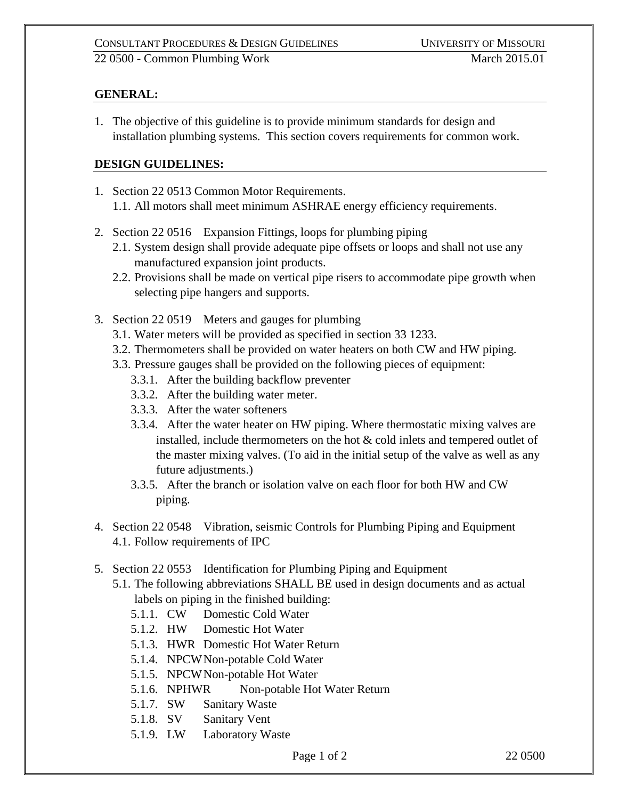## **GENERAL:**

1. The objective of this guideline is to provide minimum standards for design and installation plumbing systems. This section covers requirements for common work.

## **DESIGN GUIDELINES:**

- 1. Section 22 0513 Common Motor Requirements. 1.1. All motors shall meet minimum ASHRAE energy efficiency requirements.
- 2. Section 22 0516 Expansion Fittings, loops for plumbing piping
	- 2.1. System design shall provide adequate pipe offsets or loops and shall not use any manufactured expansion joint products.
	- 2.2. Provisions shall be made on vertical pipe risers to accommodate pipe growth when selecting pipe hangers and supports.
- 3. Section 22 0519 Meters and gauges for plumbing
	- 3.1. Water meters will be provided as specified in section 33 1233.
	- 3.2. Thermometers shall be provided on water heaters on both CW and HW piping.
	- 3.3. Pressure gauges shall be provided on the following pieces of equipment:
		- 3.3.1. After the building backflow preventer
		- 3.3.2. After the building water meter.
		- 3.3.3. After the water softeners
		- 3.3.4. After the water heater on HW piping. Where thermostatic mixing valves are installed, include thermometers on the hot & cold inlets and tempered outlet of the master mixing valves. (To aid in the initial setup of the valve as well as any future adjustments.)
		- 3.3.5. After the branch or isolation valve on each floor for both HW and CW piping.
- 4. Section 22 0548 Vibration, seismic Controls for Plumbing Piping and Equipment 4.1. Follow requirements of IPC
- 5. Section 22 0553 Identification for Plumbing Piping and Equipment
	- 5.1. The following abbreviations SHALL BE used in design documents and as actual labels on piping in the finished building:
		- 5.1.1. CW Domestic Cold Water
		- 5.1.2. HW Domestic Hot Water
		- 5.1.3. HWR Domestic Hot Water Return
		- 5.1.4. NPCWNon-potable Cold Water
		- 5.1.5. NPCWNon-potable Hot Water
		- 5.1.6. NPHWR Non-potable Hot Water Return
		- 5.1.7. SW Sanitary Waste
		- 5.1.8. SV Sanitary Vent
		- 5.1.9. LW Laboratory Waste